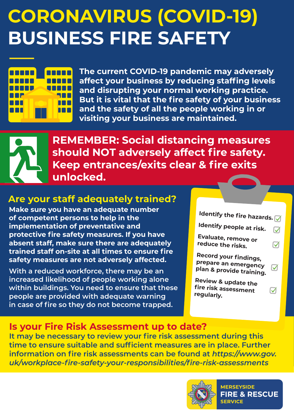# **CORONAVIRUS (COVID-19) BUSINESS FIRE SAFETY**



**The current COVID-19 pandemic may adversely affect your business by reducing staffing levels and disrupting your normal working practice. But it is vital that the fire safety of your business and the safety of all the people working in or visiting your business are maintained.**



**REMEMBER: Social distancing measures should NOT adversely affect fire safety. Keep entrances/exits clear & fire exits unlocked.**

### **Are your staff adequately trained?**

**Make sure you have an adequate number of competent persons to help in the implementation of preventative and protective fire safety measures. If you have absent staff, make sure there are adequately trained staff on-site at all times to ensure fire safety measures are not adversely affected.**

**With a reduced workforce, there may be an increased likelihood of people working alone within buildings. You need to ensure that these people are provided with adequate warning in case of fire so they do not become trapped.**



### **Is your Fire Risk Assessment up to date?**

**It may be necessary to review your fire risk assessment during this time to ensure suitable and sufficient measures are in place. Further information on fire risk assessments can be found at** *https://www.gov. uk/workplace-fire-safety-your-responsibilities/fire-risk-assessments*